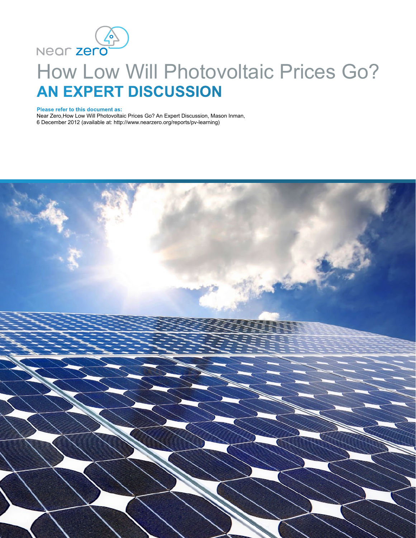

# How Low Will Photovoltaic Prices Go? **AN EXPERT DISCUSSION**

**Please refer to this document as:**

Near Zero,How Low Will Photovoltaic Prices Go? An Expert Discussion, Mason Inman, 6 December 2012 (available at: http://www.nearzero.org/reports/pv-learning)

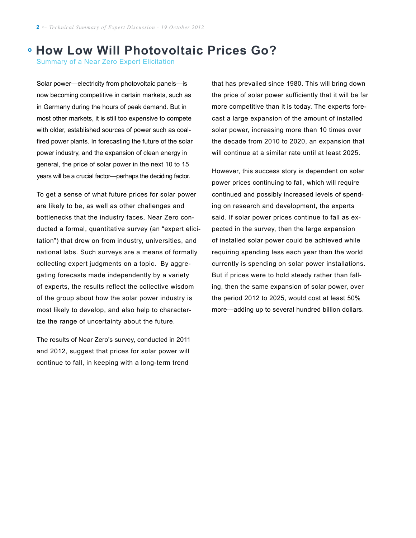## **How Low Will Photovoltaic Prices Go?**

Summary of a Near Zero Expert Elicitation

Solar power—electricity from photovoltaic panels—is now becoming competitive in certain markets, such as in Germany during the hours of peak demand. But in most other markets, it is still too expensive to compete with older, established sources of power such as coalfired power plants. In forecasting the future of the solar power industry, and the expansion of clean energy in general, the price of solar power in the next 10 to 15 years will be a crucial factor—perhaps the deciding factor.

To get a sense of what future prices for solar power are likely to be, as well as other challenges and bottlenecks that the industry faces, Near Zero conducted a formal, quantitative survey (an "expert elicitation") that drew on from industry, universities, and national labs. Such surveys are a means of formally collecting expert judgments on a topic. By aggregating forecasts made independently by a variety of experts, the results reflect the collective wisdom of the group about how the solar power industry is most likely to develop, and also help to characterize the range of uncertainty about the future.

The results of Near Zero's survey, conducted in 2011 and 2012, suggest that prices for solar power will continue to fall, in keeping with a long-term trend

that has prevailed since 1980. This will bring down the price of solar power sufficiently that it will be far more competitive than it is today. The experts forecast a large expansion of the amount of installed solar power, increasing more than 10 times over the decade from 2010 to 2020, an expansion that will continue at a similar rate until at least 2025.

However, this success story is dependent on solar power prices continuing to fall, which will require continued and possibly increased levels of spending on research and development, the experts said. If solar power prices continue to fall as expected in the survey, then the large expansion of installed solar power could be achieved while requiring spending less each year than the world currently is spending on solar power installations. But if prices were to hold steady rather than falling, then the same expansion of solar power, over the period 2012 to 2025, would cost at least 50% more—adding up to several hundred billion dollars.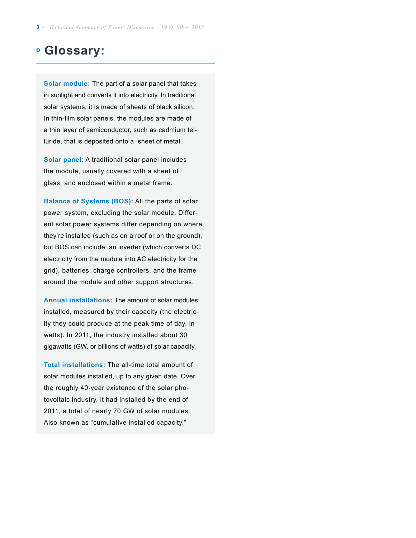## **Glossary:**

**Solar module:** The part of a solar panel that takes in sunlight and converts it into electricity. In traditional solar systems, it is made of sheets of black silicon. In thin-film solar panels, the modules are made of a thin layer of semiconductor, such as cadmium telluride, that is deposited onto a sheet of metal.

**Solar panel:** A traditional solar panel includes the module, usually covered with a sheet of glass, and enclosed within a metal frame.

**Balance of Systems (BOS):** All the parts of solar power system, excluding the solar module. Different solar power systems differ depending on where they're installed (such as on a roof or on the ground), but BOS can include: an inverter (which converts DC electricity from the module into AC electricity for the grid), batteries, charge controllers, and the frame around the module and other support structures.

**Annual installations:** The amount of solar modules installed, measured by their capacity (the electricity they could produce at the peak time of day, in watts). In 2011, the industry installed about 30 gigawatts (GW, or billions of watts) of solar capacity.

**Total installations:** The all-time total amount of solar modules installed, up to any given date. Over the roughly 40-year existence of the solar photovoltaic industry, it had installed by the end of 2011, a total of nearly 70 GW of solar modules. Also known as "cumulative installed capacity."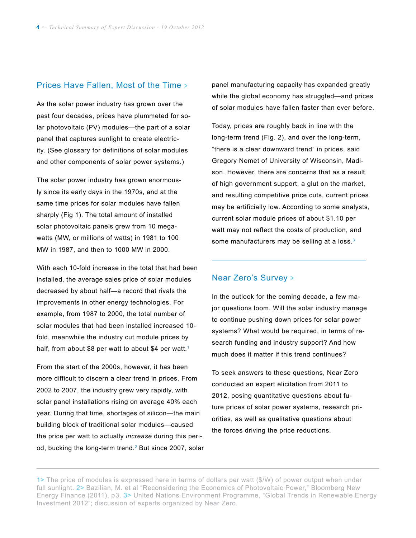#### Prices Have Fallen, Most of the Time >

As the solar power industry has grown over the past four decades, prices have plummeted for solar photovoltaic (PV) modules—the part of a solar panel that captures sunlight to create electricity. (See glossary for definitions of solar modules and other components of solar power systems.)

The solar power industry has grown enormously since its early days in the 1970s, and at the same time prices for solar modules have fallen sharply (Fig 1). The total amount of installed solar photovoltaic panels grew from 10 megawatts (MW, or millions of watts) in 1981 to 100 MW in 1987, and then to 1000 MW in 2000.

With each 10-fold increase in the total that had been installed, the average sales price of solar modules decreased by about half—a record that rivals the improvements in other energy technologies. For example, from 1987 to 2000, the total number of solar modules that had been installed increased 10 fold, meanwhile the industry cut module prices by half, from about \$8 per watt to about \$4 per watt.<sup>1</sup>

From the start of the 2000s, however, it has been more difficult to discern a clear trend in prices. From 2002 to 2007, the industry grew very rapidly, with solar panel installations rising on average 40% each year. During that time, shortages of silicon—the main building block of traditional solar modules—caused the price per watt to actually *increase* during this period, bucking the long-term trend.<sup>2</sup> But since 2007, solar panel manufacturing capacity has expanded greatly while the global economy has struggled—and prices of solar modules have fallen faster than ever before.

Today, prices are roughly back in line with the long-term trend (Fig. 2), and over the long-term, "there is a clear downward trend" in prices, said Gregory Nemet of University of Wisconsin, Madison. However, there are concerns that as a result of high government support, a glut on the market, and resulting competitive price cuts, current prices may be artificially low. According to some analysts, current solar module prices of about \$1.10 per watt may not reflect the costs of production, and some manufacturers may be selling at a loss.<sup>3</sup>

#### Near Zero's Survey <sup>&</sup>gt;

 $\overline{a}$ 

In the outlook for the coming decade, a few major questions loom. Will the solar industry manage to continue pushing down prices for solar power systems? What would be required, in terms of research funding and industry support? And how much does it matter if this trend continues?

To seek answers to these questions, Near Zero conducted an expert elicitation from 2011 to 2012, posing quantitative questions about future prices of solar power systems, research priorities, as well as qualitative questions about the forces driving the price reductions.

<sup>1&</sup>gt; The price of modules is expressed here in terms of dollars per watt (\$/W) of power output when under full sunlight. 2> Bazilian, M. et al "Reconsidering the Economics of Photovoltaic Power," Bloomberg New Energy Finance (2011), p3. 3> United Nations Environment Programme, "Global Trends in Renewable Energy Investment 2012"; discussion of experts organized by Near Zero.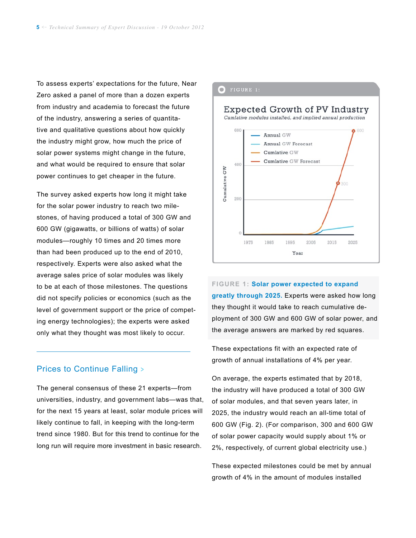To assess experts' expectations for the future, Near Zero asked a panel of more than a dozen experts from industry and academia to forecast the future of the industry, answering a series of quantitative and qualitative questions about how quickly the industry might grow, how much the price of solar power systems might change in the future, and what would be required to ensure that solar power continues to get cheaper in the future.

The survey asked experts how long it might take for the solar power industry to reach two milestones, of having produced a total of 300 GW and 600 GW (gigawatts, or billions of watts) of solar modules—roughly 10 times and 20 times more than had been produced up to the end of 2010, respectively. Experts were also asked what the average sales price of solar modules was likely to be at each of those milestones. The questions did not specify policies or economics (such as the level of government support or the price of competing energy technologies); the experts were asked only what they thought was most likely to occur.

#### Prices to Continue Falling >

 $\overline{a}$ 

The general consensus of these 21 experts—from universities, industry, and government labs—was that, for the next 15 years at least, solar module prices will likely continue to fall, in keeping with the long-term trend since 1980. But for this trend to continue for the long run will require more investment in basic research.

#### $\bullet$  FIGURE 1:

#### Expected Growth of PV Industry Cumlative modules installed, and implied annual production 600 Annual GW Annual GW Forecast Cumlative GW **Cumlative GW Forecast** 400 Cumulative GW 200 1975 1985 1995 2005 2015 2025 Year

**Figure 1: Solar power expected to expand greatly through 2025.** Experts were asked how long they thought it would take to reach cumulative deployment of 300 GW and 600 GW of solar power, and the average answers are marked by red squares.

These expectations fit with an expected rate of growth of annual installations of 4% per year.

On average, the experts estimated that by 2018, the industry will have produced a total of 300 GW of solar modules, and that seven years later, in 2025, the industry would reach an all-time total of 600 GW (Fig. 2). (For comparison, 300 and 600 GW of solar power capacity would supply about 1% or 2%, respectively, of current global electricity use.)

These expected milestones could be met by annual growth of 4% in the amount of modules installed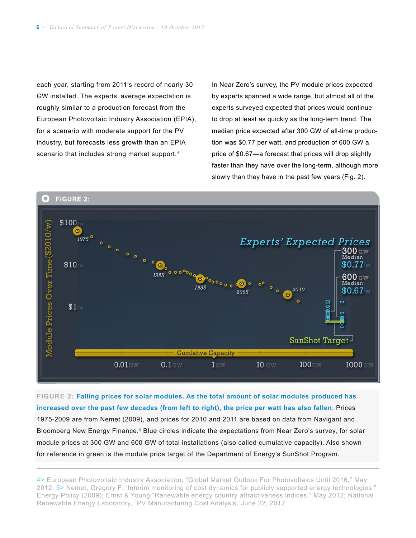each year, starting from 2011's record of nearly 30 GW installed. The experts' average expectation is roughly similar to a production forecast from the European Photovoltaic Industry Association (EPIA), for a scenario with moderate support for the PV industry, but forecasts less growth than an EPIA scenario that includes strong market support.<sup>4</sup>

In Near Zero's survey, the PV module prices expected by experts spanned a wide range, but almost all of the experts surveyed expected that prices would continue to drop at least as quickly as the long-term trend. The median price expected after 300 GW of all-time production was \$0.77 per watt, and production of 600 GW a price of \$0.67—a forecast that prices will drop slightly faster than they have over the long-term, although more slowly than they have in the past few years (Fig. 2).



**Figure 2: Falling prices for solar modules. As the total amount of solar modules produced has increased over the past few decades (from left to right), the price per watt has also fallen.** Prices 1975-2009 are from Nemet (2009), and prices for 2010 and 2011 are based on data from Navigant and Bloomberg New Energy Finance.<sup>5</sup> Blue circles indicate the expectations from Near Zero's survey, for solar module prices at 300 GW and 600 GW of total installations (also called cumulative capacity). Also shown for reference in green is the module price target of the Department of Energy's SunShot Program.

4> European Photovoltaic Industry Association, "Global Market Outlook For Photovoltaics Until 2016," May 2012. 5> Nemet, Gregory F. "Interim monitoring of cost dynamics for publicly supported energy technologies," Energy Policy (2009); Ernst & Young "Renewable energy country attractiveness indices," May 2012; National Renewable Energy Laboratory, "PV Manufacturing Cost Analysis,"June 22, 2012.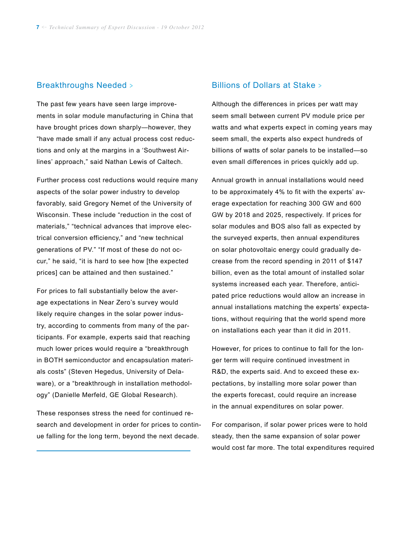#### Breakthroughs Needed >

The past few years have seen large improvements in solar module manufacturing in China that have brought prices down sharply—however, they "have made small if any actual process cost reductions and only at the margins in a 'Southwest Airlines' approach," said Nathan Lewis of Caltech.

Further process cost reductions would require many aspects of the solar power industry to develop favorably, said Gregory Nemet of the University of Wisconsin. These include "reduction in the cost of materials," "technical advances that improve electrical conversion efficiency," and "new technical generations of PV." "If most of these do not occur," he said, "it is hard to see how [the expected prices] can be attained and then sustained."

For prices to fall substantially below the average expectations in Near Zero's survey would likely require changes in the solar power industry, according to comments from many of the participants. For example, experts said that reaching much lower prices would require a "breakthrough in BOTH semiconductor and encapsulation materials costs" (Steven Hegedus, University of Delaware), or a "breakthrough in installation methodology" (Danielle Merfeld, GE Global Research).

These responses stress the need for continued research and development in order for prices to continue falling for the long term, beyond the next decade.

 $\overline{a}$ 

#### Billions of Dollars at Stake >

Although the differences in prices per watt may seem small between current PV module price per watts and what experts expect in coming years may seem small, the experts also expect hundreds of billions of watts of solar panels to be installed—so even small differences in prices quickly add up.

Annual growth in annual installations would need to be approximately 4% to fit with the experts' average expectation for reaching 300 GW and 600 GW by 2018 and 2025, respectively. If prices for solar modules and BOS also fall as expected by the surveyed experts, then annual expenditures on solar photovoltaic energy could gradually decrease from the record spending in 2011 of \$147 billion, even as the total amount of installed solar systems increased each year. Therefore, anticipated price reductions would allow an increase in annual installations matching the experts' expectations, without requiring that the world spend more on installations each year than it did in 2011.

However, for prices to continue to fall for the longer term will require continued investment in R&D, the experts said. And to exceed these expectations, by installing more solar power than the experts forecast, could require an increase in the annual expenditures on solar power.

For comparison, if solar power prices were to hold steady, then the same expansion of solar power would cost far more. The total expenditures required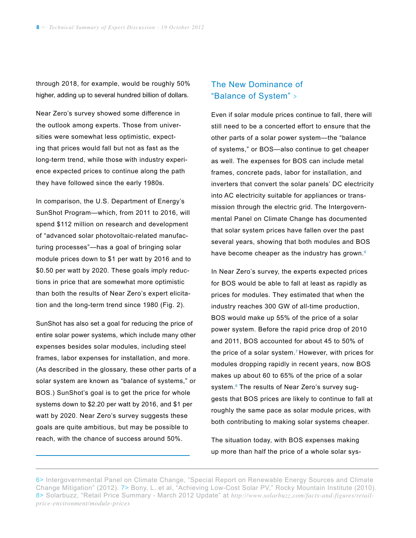through 2018, for example, would be roughly 50% higher, adding up to several hundred billion of dollars.

Near Zero's survey showed some difference in the outlook among experts. Those from universities were somewhat less optimistic, expecting that prices would fall but not as fast as the long-term trend, while those with industry experience expected prices to continue along the path they have followed since the early 1980s.

In comparison, the U.S. Department of Energy's SunShot Program—which, from 2011 to 2016, will spend \$112 million on research and development of "advanced solar photovoltaic-related manufacturing processes"—has a goal of bringing solar module prices down to \$1 per watt by 2016 and to \$0.50 per watt by 2020. These goals imply reductions in price that are somewhat more optimistic than both the results of Near Zero's expert elicitation and the long-term trend since 1980 (Fig. 2).

SunShot has also set a goal for reducing the price of entire solar power systems, which include many other expenses besides solar modules, including steel frames, labor expenses for installation, and more. (As described in the glossary, these other parts of a solar system are known as "balance of systems," or BOS.) SunShot's goal is to get the price for whole systems down to \$2.20 per watt by 2016, and \$1 per watt by 2020. Near Zero's survey suggests these goals are quite ambitious, but may be possible to reach, with the chance of success around 50%.

 $\overline{a}$ 

### The New Dominance of "Balance of System" >

Even if solar module prices continue to fall, there will still need to be a concerted effort to ensure that the other parts of a solar power system—the "balance of systems," or BOS—also continue to get cheaper as well. The expenses for BOS can include metal frames, concrete pads, labor for installation, and inverters that convert the solar panels' DC electricity into AC electricity suitable for appliances or transmission through the electric grid. The Intergovernmental Panel on Climate Change has documented that solar system prices have fallen over the past several years, showing that both modules and BOS have become cheaper as the industry has grown.<sup>6</sup>

In Near Zero's survey, the experts expected prices for BOS would be able to fall at least as rapidly as prices for modules. They estimated that when the industry reaches 300 GW of all-time production, BOS would make up 55% of the price of a solar power system. Before the rapid price drop of 2010 and 2011, BOS accounted for about 45 to 50% of the price of a solar system.<sup>7</sup> However, with prices for modules dropping rapidly in recent years, now BOS makes up about 60 to 65% of the price of a solar system.<sup>8</sup> The results of Near Zero's survey suggests that BOS prices are likely to continue to fall at roughly the same pace as solar module prices, with both contributing to making solar systems cheaper.

The situation today, with BOS expenses making up more than half the price of a whole solar sys-

<sup>6&</sup>gt; Intergovernmental Panel on Climate Change, "Special Report on Renewable Energy Sources and Climate Change Mitigation" (2012). 7> Bony, L. et al, "Achieving Low-Cost Solar PV," Rocky Mountain Institute (2010). 8> Solarbuzz, "Retail Price Summary - March 2012 Update" at *http://www.solarbuzz.com/facts-and-figures/retailprice-environment/module-prices*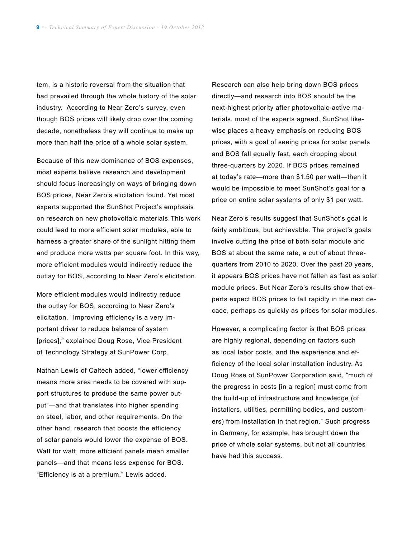tem, is a historic reversal from the situation that had prevailed through the whole history of the solar industry. According to Near Zero's survey, even though BOS prices will likely drop over the coming decade, nonetheless they will continue to make up more than half the price of a whole solar system.

Because of this new dominance of BOS expenses, most experts believe research and development should focus increasingly on ways of bringing down BOS prices, Near Zero's elicitation found. Yet most experts supported the SunShot Project's emphasis on research on new photovoltaic materials. This work could lead to more efficient solar modules, able to harness a greater share of the sunlight hitting them and produce more watts per square foot. In this way, more efficient modules would indirectly reduce the outlay for BOS, according to Near Zero's elicitation.

More efficient modules would indirectly reduce the outlay for BOS, according to Near Zero's elicitation. "Improving efficiency is a very important driver to reduce balance of system [prices]," explained Doug Rose, Vice President of Technology Strategy at SunPower Corp.

Nathan Lewis of Caltech added, "lower efficiency means more area needs to be covered with support structures to produce the same power output"—and that translates into higher spending on steel, labor, and other requirements. On the other hand, research that boosts the efficiency of solar panels would lower the expense of BOS. Watt for watt, more efficient panels mean smaller panels—and that means less expense for BOS. "Efficiency is at a premium," Lewis added.

Research can also help bring down BOS prices directly—and research into BOS should be the next-highest priority after photovoltaic-active materials, most of the experts agreed. SunShot likewise places a heavy emphasis on reducing BOS prices, with a goal of seeing prices for solar panels and BOS fall equally fast, each dropping about three-quarters by 2020. If BOS prices remained at today's rate—more than \$1.50 per watt—then it would be impossible to meet SunShot's goal for a price on entire solar systems of only \$1 per watt.

Near Zero's results suggest that SunShot's goal is fairly ambitious, but achievable. The project's goals involve cutting the price of both solar module and BOS at about the same rate, a cut of about threequarters from 2010 to 2020. Over the past 20 years, it appears BOS prices have not fallen as fast as solar module prices. But Near Zero's results show that experts expect BOS prices to fall rapidly in the next decade, perhaps as quickly as prices for solar modules.

However, a complicating factor is that BOS prices are highly regional, depending on factors such as local labor costs, and the experience and efficiency of the local solar installation industry. As Doug Rose of SunPower Corporation said, "much of the progress in costs [in a region] must come from the build-up of infrastructure and knowledge (of installers, utilities, permitting bodies, and customers) from installation in that region." Such progress in Germany, for example, has brought down the price of whole solar systems, but not all countries have had this success.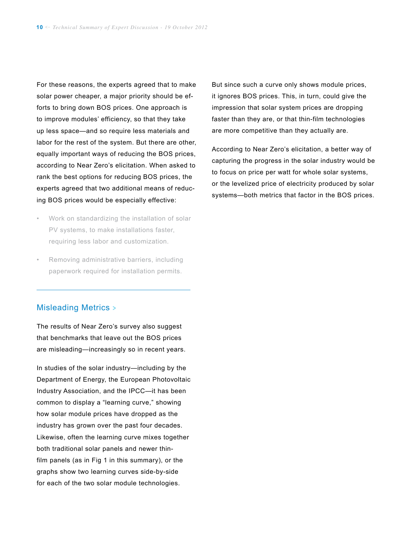For these reasons, the experts agreed that to make solar power cheaper, a major priority should be efforts to bring down BOS prices. One approach is to improve modules' efficiency, so that they take up less space—and so require less materials and labor for the rest of the system. But there are other, equally important ways of reducing the BOS prices, according to Near Zero's elicitation. When asked to rank the best options for reducing BOS prices, the experts agreed that two additional means of reducing BOS prices would be especially effective:

- Work on standardizing the installation of solar PV systems, to make installations faster, requiring less labor and customization.
- Removing administrative barriers, including paperwork required for installation permits.

#### Misleading Metrics >

 $\overline{a}$ 

The results of Near Zero's survey also suggest that benchmarks that leave out the BOS prices are misleading—increasingly so in recent years.

In studies of the solar industry—including by the Department of Energy, the European Photovoltaic Industry Association, and the IPCC—it has been common to display a "learning curve," showing how solar module prices have dropped as the industry has grown over the past four decades. Likewise, often the learning curve mixes together both traditional solar panels and newer thinfilm panels (as in Fig 1 in this summary), or the graphs show two learning curves side-by-side for each of the two solar module technologies.

But since such a curve only shows module prices, it ignores BOS prices. This, in turn, could give the impression that solar system prices are dropping faster than they are, or that thin-film technologies are more competitive than they actually are.

According to Near Zero's elicitation, a better way of capturing the progress in the solar industry would be to focus on price per watt for whole solar systems, or the levelized price of electricity produced by solar systems—both metrics that factor in the BOS prices.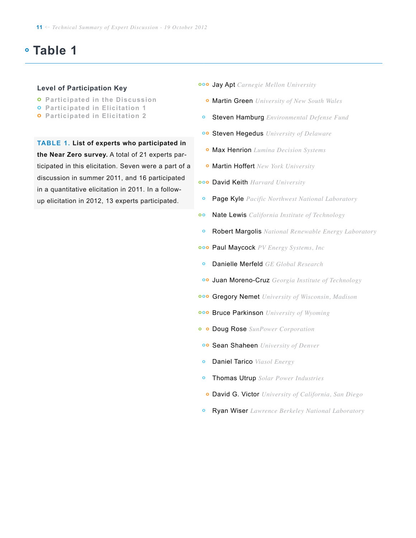# **Table 1**

#### **Level of Participation Key**

- **o Participated in the Discussion**
- **o Participated in Elicitation 1**
- **o Participated in Elicitation 2**

**Table 1. List of experts who participated in the Near Zero survey.** A total of 21 experts participated in this elicitation. Seven were a part of a discussion in summer 2011, and 16 participated in a quantitative elicitation in 2011. In a followup elicitation in 2012, 13 experts participated.

- Jay Apt *Carnegie Mellon University* **o o o**
	- Martin Green *University of New South Wales* **o**
- Steven Hamburg *Environmental Defense Fund* **o**
- Steven Hegedus *University of Delaware* **o o**
- Max Henrion *Lumina Decision Systems* **o**
- Martin Hoffert *New York University* **o**
- David Keith *Harvard University* **o o o**
- Page Kyle *Pacific Northwest National Laboratory* **o**
- Nate Lewis *California Institute of Technology* **o o**
- Robert Margolis *National Renewable Energy Laboratory* **o**
- Paul Maycock *PV Energy Systems, Inc* **o o o**
- Danielle Merfeld *GE Global Research* **o**
- Juan Moreno-Cruz *Georgia Institute of Technology* **o o**
- Gregory Nemet *University of Wisconsin, Madison* **o o o**
- **ooo Bruce Parkinson** University of Wyoming
- Doug Rose *SunPower Corporation* **o o**
- Sean Shaheen *University of Denver* **o o**
- Daniel Tarico *Viasol Energy* **o**
- Thomas Utrup *Solar Power Industries* **o**
- David G. Victor *University of California, San Diego* **o**
- Ryan Wiser *Lawrence Berkeley National Laboratory* **o**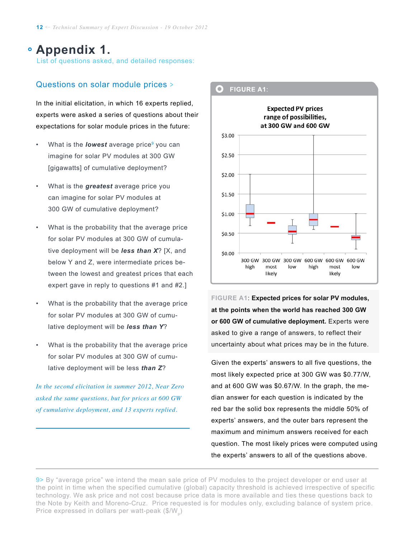## **Appendix 1.**

List of questions asked, and detailed responses:

#### Questions on solar module prices >

In the initial elicitation, in which 16 experts replied, experts were asked a series of questions about their expectations for solar module prices in the future:

- What is the *lowest* average price<sup>9</sup> you can imagine for solar PV modules at 300 GW [gigawatts] of cumulative deployment?
- What is the *greatest* average price you can imagine for solar PV modules at 300 GW of cumulative deployment?
- What is the probability that the average price for solar PV modules at 300 GW of cumulative deployment will be *less than X*? [X, and below Y and Z, were intermediate prices between the lowest and greatest prices that each expert gave in reply to questions #1 and #2.]
- What is the probability that the average price for solar PV modules at 300 GW of cumulative deployment will be *less than Y*?
- What is the probability that the average price for solar PV modules at 300 GW of cumulative deployment will be less *than Z*?

*In the second elicitation in summer 2012, Near Zero asked the same questions, but for prices at 600 GW of cumulative deployment, and 13 experts replied.*

 $\overline{a}$ 



**Figure A1**: **Expected prices for solar PV modules, at the points when the world has reached 300 GW or 600 GW of cumulative deployment.** Experts were asked to give a range of answers, to reflect their uncertainty about what prices may be in the future.

Given the experts' answers to all five questions, the most likely expected price at 300 GW was \$0.77/W, and at 600 GW was \$0.67/W. In the graph, the median answer for each question is indicated by the red bar the solid box represents the middle 50% of experts' answers, and the outer bars represent the maximum and minimum answers received for each question. The most likely prices were computed using the experts' answers to all of the questions above.

<sup>9&</sup>gt; By "average price" we intend the mean sale price of PV modules to the project developer or end user at the point in time when the specified cumulative (global) capacity threshold is achieved irrespective of specific technology. We ask price and not cost because price data is more available and ties these questions back to the Note by Keith and Moreno-Cruz. Price requested is for modules only, excluding balance of system price. Price expressed in dollars per watt-peak  $(\$/W_s)$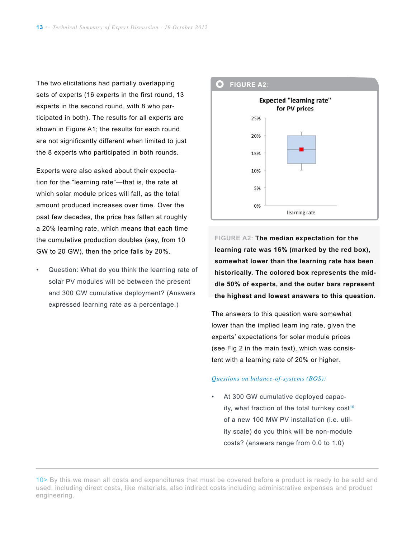The two elicitations had partially overlapping sets of experts (16 experts in the first round, 13 experts in the second round, with 8 who participated in both). The results for all experts are shown in Figure A1; the results for each round are not significantly different when limited to just the 8 experts who participated in both rounds.

Experts were also asked about their expectation for the "learning rate"—that is, the rate at which solar module prices will fall, as the total amount produced increases over time. Over the past few decades, the price has fallen at roughly a 20% learning rate, which means that each time the cumulative production doubles (say, from 10 GW to 20 GW), then the price falls by 20%.

Question: What do you think the learning rate of solar PV modules will be between the present and 300 GW cumulative deployment? (Answers expressed learning rate as a percentage.)



**Figure A2**: **The median expectation for the learning rate was 16% (marked by the red box), somewhat lower than the learning rate has been historically. The colored box represents the middle 50% of experts, and the outer bars represent the highest and lowest answers to this question.**

The answers to this question were somewhat lower than the implied learn ing rate, given the experts' expectations for solar module prices (see Fig 2 in the main text), which was consistent with a learning rate of 20% or higher.

#### *Questions on balance-of-systems (BOS):*

• At 300 GW cumulative deployed capacity, what fraction of the total turnkey  $cost^{10}$ of a new 100 MW PV installation (i.e. utility scale) do you think will be non-module costs? (answers range from 0.0 to 1.0)

<sup>10&</sup>gt; By this we mean all costs and expenditures that must be covered before a product is ready to be sold and used, including direct costs, like materials, also indirect costs including administrative expenses and product engineering.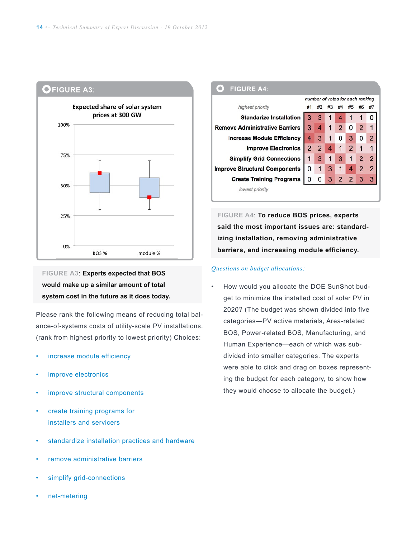

## **Figure A3**: **Experts expected that BOS would make up a similar amount of total system cost in the future as it does today.**

Please rank the following means of reducing total balance-of-systems costs of utility-scale PV installations. (rank from highest priority to lowest priority) Choices:

- increase module efficiency
- improve electronics
- improve structural components
- create training programs for installers and servicers
- standardize installation practices and hardware
- remove administrative barriers
- simplify grid-connections
- net-metering

#### **FIGURE A4:** number of votes for each ranking highest priority #1 #2 #3 #4 #5 #6 #7 **Standarize Installation**  $\mathbf{1}$ 3  $\mathbf{1}$ 4 1 0 3 **Remove Administrative Barriers**  $\overline{2}$ 0  $\overline{2}$  $\mathbf{1}$ 3 4  $\mathbf{1}$ **Increase Module Efficiency**  $\mathbf 0$ 3  $\mathbf 0$  $\overline{2}$  $\overline{4}$ 3  $\mathbf{1}$  $\overline{2}$  $\overline{2}$  $\overline{2}$  $\overline{4}$  $\mathbf{1}$ **Improve Electronics**  $\mathbf{1}$  $\mathbf{1}$ **Simplify Grid Connections** 3 3  $\mathbf{1}$  $\overline{2}$  $\overline{2}$  $\mathbf{1}$ 1 **Improve Structural Components**  $\overline{4}$  $\overline{2}$  $\overline{2}$ 0  $\mathbf{1}$ 3  $\mathbf{1}$  $\overline{2}$  $\overline{2}$ 3 3 **Create Training Programs** 0 0 3 lowest priority

**Figure A4**: **To reduce BOS prices, experts said the most important issues are: standardizing installation, removing administrative barriers, and increasing module efficiency.**

#### *Questions on budget allocations:*

• How would you allocate the DOE SunShot budget to minimize the installed cost of solar PV in 2020? (The budget was shown divided into five categories—PV active materials, Area-related BOS, Power-related BOS, Manufacturing, and Human Experience—each of which was subdivided into smaller categories. The experts were able to click and drag on boxes representing the budget for each category, to show how they would choose to allocate the budget.)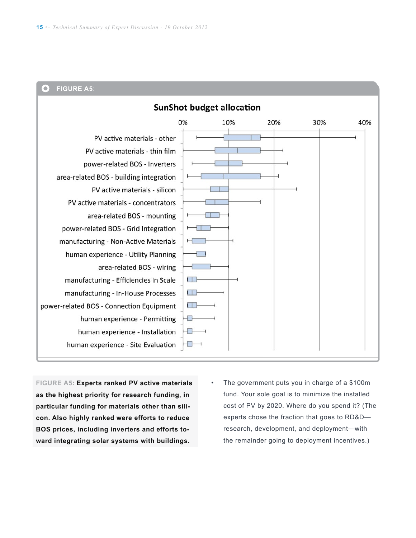#### **FIGURE A5:**  $\bigcirc$

| <b>SunShot budget allocation</b>         |    |     |     |     |     |
|------------------------------------------|----|-----|-----|-----|-----|
|                                          | 0% | 10% | 20% | 30% | 40% |
| PV active materials - other              |    |     |     |     |     |
| PV active materials - thin film          |    |     |     |     |     |
| power-related BOS - Inverters            |    |     |     |     |     |
| area-related BOS - building integration  |    |     |     |     |     |
| PV active materials - silicon            |    |     |     |     |     |
| PV active materials - concentrators      |    |     |     |     |     |
| area-related BOS - mounting              |    |     |     |     |     |
| power-related BOS - Grid Integration     |    |     |     |     |     |
| manufacturing - Non-Active Materials     |    |     |     |     |     |
| human experience - Utility Planning      |    |     |     |     |     |
| area-related BOS - wiring                |    |     |     |     |     |
| manufacturing - Efficiencies In Scale    |    |     |     |     |     |
| manufacturing - In-House Processes       |    |     |     |     |     |
| power-related BOS - Connection Equipment |    |     |     |     |     |
| human experience - Permitting            |    |     |     |     |     |
| human experience - Installation          |    |     |     |     |     |
| human experience - Site Evaluation       |    |     |     |     |     |
|                                          |    |     |     |     |     |

**Figure A5**: **Experts ranked PV active materials as the highest priority for research funding, in particular funding for materials other than silicon. Also highly ranked were efforts to reduce BOS prices, including inverters and efforts toward integrating solar systems with buildings.**

• The government puts you in charge of a \$100m fund. Your sole goal is to minimize the installed cost of PV by 2020. Where do you spend it? (The experts chose the fraction that goes to RD&D research, development, and deployment—with the remainder going to deployment incentives.)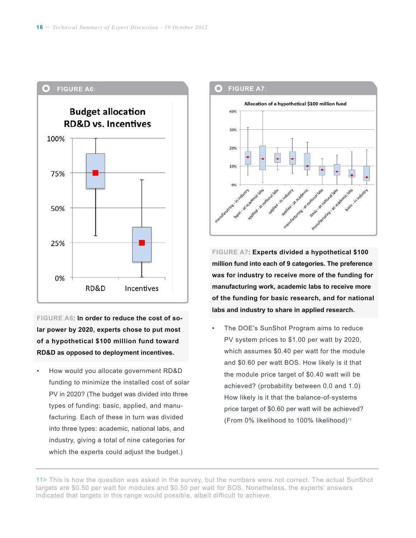

**Figure A6**: **In order to reduce the cost of solar power by 2020, experts chose to put most of a hypothetical \$100 million fund toward RD&D as opposed to deployment incentives.** 

• How would you allocate government RD&D funding to minimize the installed cost of solar PV in 2020? (The budget was divided into three types of funding: basic, applied, and manufacturing. Each of these in turn was divided into three types: academic, national labs, and industry, giving a total of nine categories for which the experts could adjust the budget.)



**Figure A7**: **Experts divided a hypothetical \$100 million fund into each of 9 categories. The preference was for industry to receive more of the funding for manufacturing work, academic labs to receive more of the funding for basic research, and for national labs and industry to share in applied research.**

• The DOE's SunShot Program aims to reduce PV system prices to \$1.00 per watt by 2020, which assumes \$0.40 per watt for the module and \$0.60 per watt BOS. How likely is it that the module price target of \$0.40 watt will be achieved? (probability between 0.0 and 1.0) How likely is it that the balance-of-systems price target of \$0.60 per watt will be achieved? (From 0% likelihood to 100% likelihood)11

11> This is how the question was asked in the survey, but the numbers were not correct. The actual SunShot targets are \$0.50 per watt for modules and \$0.50 per watt for BOS. Nonetheless, the experts' answers indicated that targets in this range would possible, albeit difficult to achieve.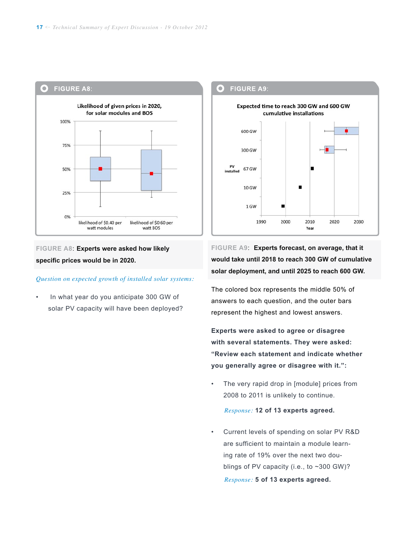

**Figure A8**: **Experts were asked how likely specific prices would be in 2020.**

#### *Question on expected growth of installed solar systems:*

• In what year do you anticipate 300 GW of solar PV capacity will have been deployed?

Expected time to reach 300 GW and 600 GW cumulative installations 600 GW 300 GW PV 67 GW installed  $10$  GW 1 GW 2000 2010 2020 1990 2030 Year

**FIGURE A9:** 

 $\bullet$ 

**Figure A9**: **Experts forecast, on average, that it would take until 2018 to reach 300 GW of cumulative solar deployment, and until 2025 to reach 600 GW.** 

The colored box represents the middle 50% of answers to each question, and the outer bars represent the highest and lowest answers.

**Experts were asked to agree or disagree with several statements. They were asked: "Review each statement and indicate whether you generally agree or disagree with it.":**

The very rapid drop in [module] prices from 2008 to 2011 is unlikely to continue.

#### *Response:* **12 of 13 experts agreed.**

• Current levels of spending on solar PV R&D are sufficient to maintain a module learning rate of 19% over the next two doublings of PV capacity (i.e., to ~300 GW)?  *Response:* **5 of 13 experts agreed.**